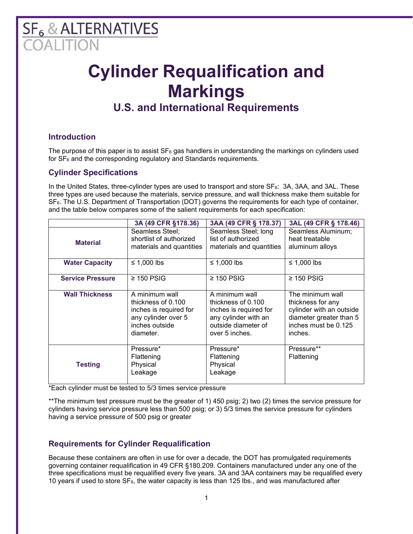# $SF<sub>6</sub>$  & ALTERNATIVES

## **Cylinder Requalification and Markings**

### **U.S. and International Requirements**

#### **Introduction**

The purpose of this paper is to assist  $SF_6$  gas handlers in understanding the markings on cylinders used for  $SF<sub>6</sub>$  and the corresponding regulatory and Standards requirements.

#### **Cylinder Specifications**

In the United States, three-cylinder types are used to transport and store  $SF_6$ : 3A, 3AA, and 3AL. These three types are used because the materials, service pressure, and wall thickness make them suitable for SF6. The U.S. Department of Transportation (DOT) governs the requirements for each type of container, and the table below compares some of the salient requirements for each specification:

|                         | 3A (49 CFR §178.36)                                                                                                  | 3AA (49 CFR § 178.37)                                                                                                             | 3AL (49 CFR § 178.46)                                                                                                           |
|-------------------------|----------------------------------------------------------------------------------------------------------------------|-----------------------------------------------------------------------------------------------------------------------------------|---------------------------------------------------------------------------------------------------------------------------------|
| <b>Material</b>         | Seamless Steel;<br>shortlist of authorized<br>materials and quantities                                               | Seamless Steel; long<br>list of authorized<br>materials and quantities                                                            | Seamless Aluminum;<br>heat treatable<br>aluminum alloys                                                                         |
| <b>Water Capacity</b>   | $\leq$ 1,000 lbs                                                                                                     | ≤ 1,000 lbs                                                                                                                       | $\leq$ 1,000 lbs                                                                                                                |
| <b>Service Pressure</b> | $\geq$ 150 PSIG                                                                                                      | $\geq$ 150 PSIG                                                                                                                   | $\geq$ 150 PSIG                                                                                                                 |
| <b>Wall Thickness</b>   | A minimum wall<br>thickness of 0.100<br>inches is required for<br>any cylinder over 5<br>inches outside<br>diameter. | A minimum wall<br>thickness of $0.100$<br>inches is required for<br>any cylinder with an<br>outside diameter of<br>over 5 inches. | The minimum wall<br>thickness for any<br>cylinder with an outside<br>diameter greater than 5<br>inches must be 0.125<br>inches. |
| <b>Testing</b>          | Pressure*<br>Flattening<br>Physical<br>Leakage                                                                       | Pressure*<br>Flattening<br>Physical<br>Leakage                                                                                    | Pressure**<br>Flattening                                                                                                        |

\*Each cylinder must be tested to 5/3 times service pressure

\*\*The minimum test pressure must be the greater of 1) 450 psig; 2) two (2) times the service pressure for cylinders having service pressure less than 500 psig; or 3) 5/3 times the service pressure for cylinders having a service pressure of 500 psig or greater

#### **Requirements for Cylinder Requalification**

Because these containers are often in use for over a decade, the DOT has promulgated requirements governing container requalification in 49 CFR §180.209. Containers manufactured under any one of the three specifications must be requalified every five years. 3A and 3AA containers may be requalified every 10 years if used to store SF<sub>6</sub>, the water capacity is less than 125 lbs., and was manufactured after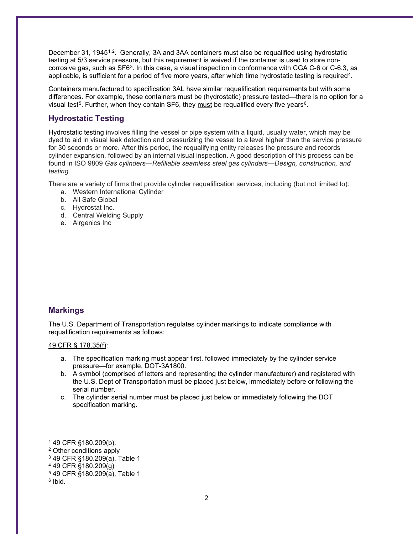December 3[1,](#page-1-0) 1945<sup>1,2</sup>. Generally, 3A and 3AA containers must also be requalified using hydrostatic testing at 5/3 service pressure, but this requirement is waived if the container is used to store noncorrosive gas, such as SF6[3.](#page-1-2) In this case, a visual inspection in conformance with CGA C-6 or C-6.3, as applicable, is sufficient for a period of five more years, after which time hydrostatic testing is required[4](#page-1-3).

Containers manufactured to specification 3AL have similar requalification requirements but with some differences. For example, these containers must be (hydrostatic) pressure tested—there is no option for a visual test<sup>5</sup>. Further, when they contain SF[6](#page-1-5), they must be requalified every five years<sup>6</sup>.

#### **Hydrostatic Testing**

Hydrostatic testing involves filling the vessel or pipe system with a liquid, usually water, which may be dyed to aid in visual leak detection and pressurizing the vessel to a level higher than the service pressure for 30 seconds or more. After this period, the requalifying entity releases the pressure and records cylinder expansion, followed by an internal visual inspection. A good description of this process can be found in ISO 9809 *Gas cylinders—Refillable seamless steel gas cylinders—Design, construction, and testing*.

There are a variety of firms that provide cylinder requalification services, including (but not limited to):

- a. Western International Cylinder
- b. All Safe Global
- c. Hydrostat Inc.
- d. Central Welding Supply
- e. Airgenics Inc

#### **Markings**

The U.S. Department of Transportation regulates cylinder markings to indicate compliance with requalification requirements as follows:

#### 49 CFR § 178.35(f):

- a. The specification marking must appear first, followed immediately by the cylinder service pressure—for example, DOT-3A1800.
- b. A symbol (comprised of letters and representing the cylinder manufacturer) and registered with the U.S. Dept of Transportation must be placed just below, immediately before or following the serial number.
- c. The cylinder serial number must be placed just below or immediately following the DOT specification marking.

<span id="page-1-0"></span><sup>1</sup> 49 CFR §180.209(b).

<span id="page-1-1"></span><sup>2</sup> Other conditions apply

<span id="page-1-2"></span><sup>3</sup> 49 CFR §180.209(a), Table 1

<span id="page-1-3"></span><sup>4</sup> 49 CFR §180.209(g)

<span id="page-1-4"></span><sup>5</sup> 49 CFR §180.209(a), Table 1

<span id="page-1-5"></span> $6$  Ibid.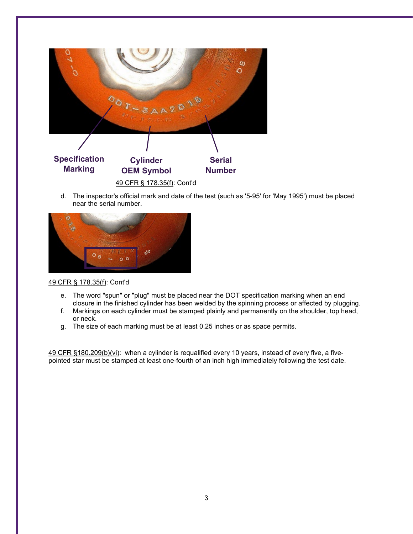

d. The inspector's official mark and date of the test (such as '5-95' for 'May 1995') must be placed near the serial number.



#### 49 CFR § 178.35(f): Cont'd

- e. The word "spun" or "plug" must be placed near the DOT specification marking when an end closure in the finished cylinder has been welded by the spinning process or affected by plugging.
- f. Markings on each cylinder must be stamped plainly and permanently on the shoulder, top head, or neck.
- g. The size of each marking must be at least 0.25 inches or as space permits.

49 CFR §180.209(b)(vi): when a cylinder is requalified every 10 years, instead of every five, a fivepointed star must be stamped at least one-fourth of an inch high immediately following the test date.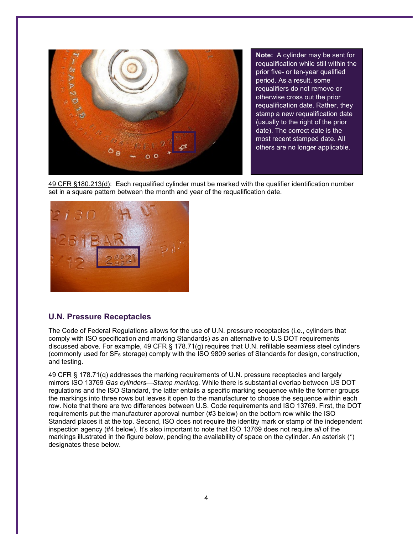

**Note:** A cylinder may be sent for requalification while still within the prior five- or ten-year qualified period. As a result, some requalifiers do not remove or otherwise cross out the prior requalification date. Rather, they stamp a new requalification date (usually to the right of the prior date). The correct date is the most recent stamped date. All others are no longer applicable.

49 CFR §180.213(d): Each requalified cylinder must be marked with the qualifier identification number set in a square pattern between the month and year of the requalification date.



#### **U.N. Pressure Receptacles**

The Code of Federal Regulations allows for the use of U.N. pressure receptacles (i.e., cylinders that comply with ISO specification and marking Standards) as an alternative to U.S DOT requirements discussed above. For example, 49 CFR § 178.71(g) requires that U.N. refillable seamless steel cylinders (commonly used for  $SF<sub>6</sub>$  storage) comply with the ISO 9809 series of Standards for design, construction, and testing.

49 CFR § 178.71(q) addresses the marking requirements of U.N. pressure receptacles and largely mirrors ISO 13769 *Gas cylinders—Stamp marking*. While there is substantial overlap between US DOT regulations and the ISO Standard, the latter entails a specific marking sequence while the former groups the markings into three rows but leaves it open to the manufacturer to choose the sequence within each row. Note that there are two differences between U.S. Code requirements and ISO 13769. First, the DOT requirements put the manufacturer approval number (#3 below) on the bottom row while the ISO Standard places it at the top. Second, ISO does not require the identity mark or stamp of the independent inspection agency (#4 below). It's also important to note that ISO 13769 does not require *all* of the markings illustrated in the figure below, pending the availability of space on the cylinder. An asterisk (\*) designates these below.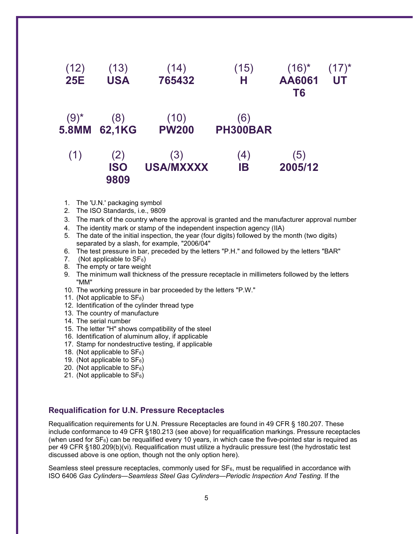

- 1. The 'U.N.' packaging symbol
- 2. The ISO Standards, i.e., 9809
- 3. The mark of the country where the approval is granted and the manufacturer approval number
- 4. The identity mark or stamp of the independent inspection agency (IIA)
- 5. The date of the initial inspection, the year (four digits) followed by the month (two digits) separated by a slash, for example, "2006/04"
- 6. The test pressure in bar, preceded by the letters "P.H." and followed by the letters "BAR"
- 7. (Not applicable to  $SF_6$ )
- 8. The empty or tare weight
- 9. The minimum wall thickness of the pressure receptacle in millimeters followed by the letters "MM"
- 10. The working pressure in bar proceeded by the letters "P.W."
- 11. (Not applicable to  $SF_6$ )
- 12. Identification of the cylinder thread type
- 13. The country of manufacture
- 14. The serial number
- 15. The letter "H" shows compatibility of the steel
- 16. Identification of aluminum alloy, if applicable
- 17. Stamp for nondestructive testing, if applicable
- 18. (Not applicable to  $SF<sub>6</sub>$ )
- 19. (Not applicable to  $SF_6$ )
- 20. (Not applicable to  $SF_6$ )
- 21. (Not applicable to  $SF_6$ )

#### **Requalification for U.N. Pressure Receptacles**

Requalification requirements for U.N. Pressure Receptacles are found in 49 CFR § 180.207. These include conformance to 49 CFR §180.213 (see above) for requalification markings. Pressure receptacles (when used for SF6) can be requalified every 10 years, in which case the five-pointed star is required as per 49 CFR §180.209(b)(vi). Requalification must utilize a hydraulic pressure test (the hydrostatic test discussed above is one option, though not the only option here).

Seamless steel pressure receptacles, commonly used for  $SF<sub>6</sub>$ , must be requalified in accordance with ISO 6406 *Gas Cylinders—Seamless Steel Gas Cylinders—Periodic Inspection And Testing.* If the